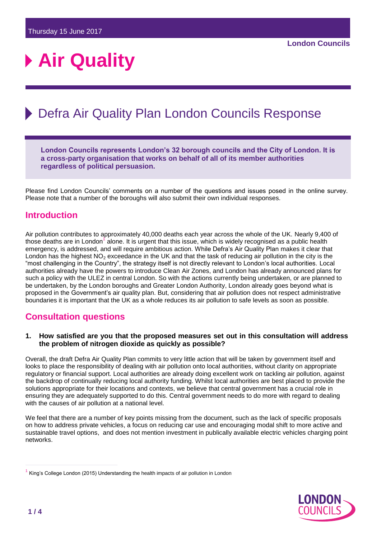# **Air Quality**

## Defra Air Quality Plan London Councils Response

**London Councils represents London's 32 borough councils and the City of London. It is a cross-party organisation that works on behalf of all of its member authorities regardless of political persuasion.**

Please find London Councils' comments on a number of the questions and issues posed in the online survey. Please note that a number of the boroughs will also submit their own individual responses.

## **Introduction**

Air pollution contributes to approximately 40,000 deaths each year across the whole of the UK. Nearly 9,400 of those deaths are in London<sup>1</sup> alone. It is urgent that this issue, which is widely recognised as a public health emergency, is addressed, and will require ambitious action. While Defra's Air Quality Plan makes it clear that London has the highest NO<sub>2</sub> exceedance in the UK and that the task of reducing air pollution in the city is the "most challenging in the Country", the strategy itself is not directly relevant to London's local authorities. Local authorities already have the powers to introduce Clean Air Zones, and London has already announced plans for such a policy with the ULEZ in central London. So with the actions currently being undertaken, or are planned to be undertaken, by the London boroughs and Greater London Authority, London already goes beyond what is proposed in the Government's air quality plan. But, considering that air pollution does not respect administrative boundaries it is important that the UK as a whole reduces its air pollution to safe levels as soon as possible.

## **Consultation questions**

#### **1. How satisfied are you that the proposed measures set out in this consultation will address the problem of nitrogen dioxide as quickly as possible?**

Overall, the draft Defra Air Quality Plan commits to very little action that will be taken by government itself and looks to place the responsibility of dealing with air pollution onto local authorities, without clarity on appropriate regulatory or financial support. Local authorities are already doing excellent work on tackling air pollution, against the backdrop of continually reducing local authority funding. Whilst local authorities are best placed to provide the solutions appropriate for their locations and contexts, we believe that central government has a crucial role in ensuring they are adequately supported to do this. Central government needs to do more with regard to dealing with the causes of air pollution at a national level.

We feel that there are a number of key points missing from the document, such as the lack of specific proposals on how to address private vehicles, a focus on reducing car use and encouraging modal shift to more active and sustainable travel options, and does not mention investment in publically available electric vehicles charging point networks.



<sup>&</sup>lt;sup>1</sup> [King's College London \(2015\) Understanding the health impacts of air pollution in London](https://www.scribd.com/document/271641490/King-s-College-London-report-on-mortality-burden-of-NO2-and-PM2-5-in-London)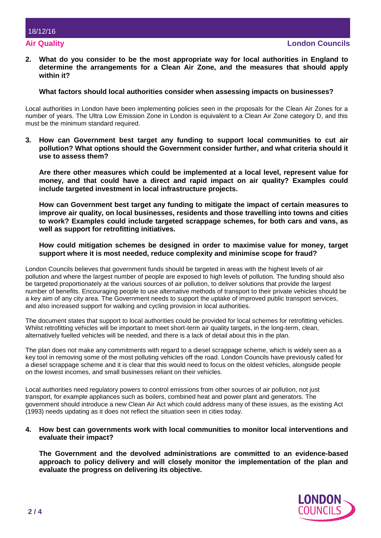**2. What do you consider to be the most appropriate way for local authorities in England to determine the arrangements for a Clean Air Zone, and the measures that should apply within it?**

#### **What factors should local authorities consider when assessing impacts on businesses?**

Local authorities in London have been implementing policies seen in the proposals for the Clean Air Zones for a number of years. The Ultra Low Emission Zone in London is equivalent to a Clean Air Zone category D, and this must be the minimum standard required.

**3. How can Government best target any funding to support local communities to cut air pollution? What options should the Government consider further, and what criteria should it use to assess them?** 

**Are there other measures which could be implemented at a local level, represent value for money, and that could have a direct and rapid impact on air quality? Examples could include targeted investment in local infrastructure projects.** 

**How can Government best target any funding to mitigate the impact of certain measures to improve air quality, on local businesses, residents and those travelling into towns and cities to work? Examples could include targeted scrappage schemes, for both cars and vans, as well as support for retrofitting initiatives.** 

#### **How could mitigation schemes be designed in order to maximise value for money, target support where it is most needed, reduce complexity and minimise scope for fraud?**

London Councils believes that government funds should be targeted in areas with the highest levels of air pollution and where the largest number of people are exposed to high levels of pollution. The funding should also be targeted proportionately at the various sources of air pollution, to deliver solutions that provide the largest number of benefits. Encouraging people to use alternative methods of transport to their private vehicles should be a key aim of any city area. The Government needs to support the uptake of improved public transport services, and also increased support for walking and cycling provision in local authorities.

The document states that support to local authorities could be provided for local schemes for retrofitting vehicles. Whilst retrofitting vehicles will be important to meet short-term air quality targets, in the long-term, clean, alternatively fuelled vehicles will be needed, and there is a lack of detail about this in the plan.

The plan does not make any commitments with regard to a diesel scrappage scheme, which is widely seen as a key tool in removing some of the most polluting vehicles off the road. London Councils have previously called for a diesel scrappage scheme and it is clear that this would need to focus on the oldest vehicles, alongside people on the lowest incomes, and small businesses reliant on their vehicles.

Local authorities need regulatory powers to control emissions from other sources of air pollution, not just transport, for example appliances such as boilers, combined heat and power plant and generators. The government should introduce a new Clean Air Act which could address many of these issues, as the existing Act (1993) needs updating as it does not reflect the situation seen in cities today.

#### **4. How best can governments work with local communities to monitor local interventions and evaluate their impact?**

**The Government and the devolved administrations are committed to an evidence-based approach to policy delivery and will closely monitor the implementation of the plan and evaluate the progress on delivering its objective.** 

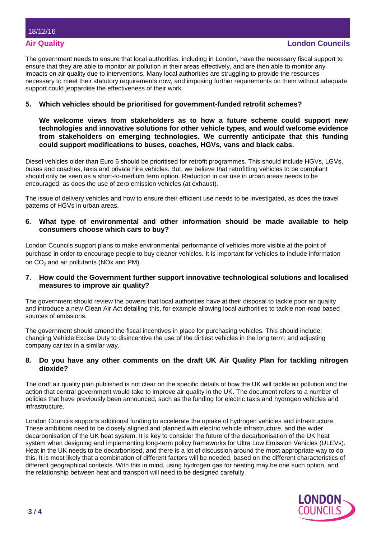The government needs to ensure that local authorities, including in London, have the necessary fiscal support to ensure that they are able to monitor air pollution in their areas effectively, and are then able to monitor any impacts on air quality due to interventions. Many local authorities are struggling to provide the resources necessary to meet their statutory requirements now, and imposing further requirements on them without adequate support could jeopardise the effectiveness of their work.

#### **5. Which vehicles should be prioritised for government-funded retrofit schemes?**

**We welcome views from stakeholders as to how a future scheme could support new technologies and innovative solutions for other vehicle types, and would welcome evidence from stakeholders on emerging technologies. We currently anticipate that this funding could support modifications to buses, coaches, HGVs, vans and black cabs.** 

Diesel vehicles older than Euro 6 should be prioritised for retrofit programmes. This should include HGVs, LGVs, buses and coaches, taxis and private hire vehicles. But, we believe that retrofitting vehicles to be compliant should only be seen as a short-to-medium term option. Reduction in car use in urban areas needs to be encouraged, as does the use of zero emission vehicles (at exhaust).

The issue of delivery vehicles and how to ensure their efficient use needs to be investigated, as does the travel patterns of HGVs in urban areas.

#### **6. What type of environmental and other information should be made available to help consumers choose which cars to buy?**

London Councils support plans to make environmental performance of vehicles more visible at the point of purchase in order to encourage people to buy cleaner vehicles. It is important for vehicles to include information on  $CO<sub>2</sub>$  and air pollutants (NOx and PM).

#### **7. How could the Government further support innovative technological solutions and localised measures to improve air quality?**

The government should review the powers that local authorities have at their disposal to tackle poor air quality and introduce a new Clean Air Act detailing this, for example allowing local authorities to tackle non-road based sources of emissions.

The government should amend the fiscal incentives in place for purchasing vehicles. This should include: changing Vehicle Excise Duty to disincentive the use of the dirtiest vehicles in the long term; and adjusting company car tax in a similar way.

#### **8. Do you have any other comments on the draft UK Air Quality Plan for tackling nitrogen dioxide?**

The draft air quality plan published is not clear on the specific details of how the UK will tackle air pollution and the action that central government would take to improve air quality in the UK. The document refers to a number of policies that have previously been announced, such as the funding for electric taxis and hydrogen vehicles and infrastructure.

London Councils supports additional funding to accelerate the uptake of hydrogen vehicles and infrastructure. These ambitions need to be closely aligned and planned with electric vehicle infrastructure, and the wider decarbonisation of the UK heat system. It is key to consider the future of the decarbonisation of the UK heat system when designing and implementing long-term policy frameworks for Ultra Low Emission Vehicles (ULEVs). Heat in the UK needs to be decarbonised, and there is a lot of discussion around the most appropriate way to do this. It is most likely that a combination of different factors will be needed, based on the different characteristics of different geographical contexts. With this in mind, using hydrogen gas for heating may be one such option, and the relationship between heat and transport will need to be designed carefully.